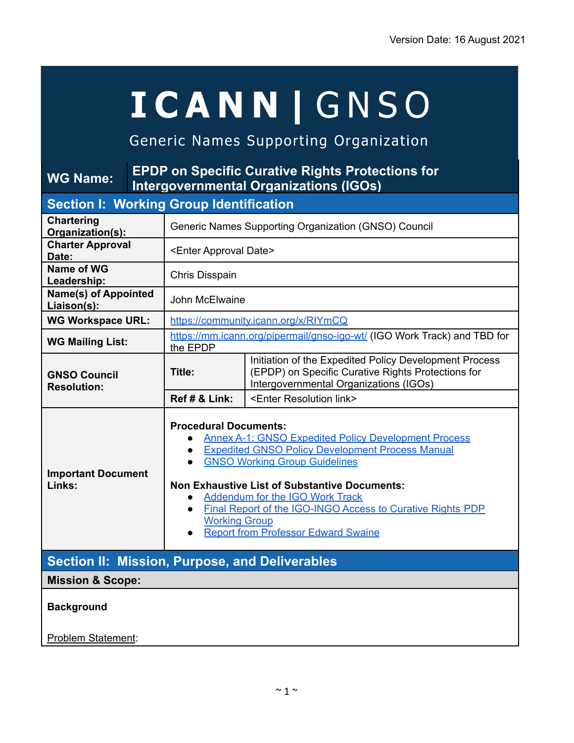# **ICANN | GNSO**

# Generic Names Supporting Organization

#### **WG Name: EPDP on Specific Curative Rights Protections for Intergovernmental Organizations (IGOs) Section I: Working Group Identification Chartering Organization(s):** Generic Names Supporting Organization (GNSO) Council **Charter Approval Date:** <Enter Approval Date> **Name of WG Leadership:** Chris Disspain **Name(s) of Appointed Liaison(s):** John McElwaine **WG Workspace URL:** <https://community.icann.org/x/RIYmCQ> **WG Mailing List:** https://mm.jcann.org/pipermail/gnso-igo-wt/ (IGO Work Track) and TBD for the EPDP **GNSO Council Resolution: Title:** Initiation of the Expedited Policy Development Process (EPDP) on Specific Curative Rights Protections for Intergovernmental Organizations (IGOs) **Ref # & Link:** <Enter Resolution link> **Important Document Links: Procedural Documents:** ● Annex A-1: GNSO Expedited Policy [Development](https://www.icann.org/resources/pages/governance/bylaws-en/#annexA1) Process ● Expedited GNSO Policy [Development](https://gnso.icann.org/sites/default/files/file/field-file-attach/annex-4-epdp-manual-24oct19-en.pdf) Process Manual ● GNSO Working Group [Guidelines](https://gnso.icann.org/sites/default/files/file/field-file-attach/annex-1-gnso-wg-guidelines-24oct19-en.pdf) **Non Exhaustive List of Substantive Documents:** ● [Addendum](https://gnso.icann.org/sites/default/files/file/field-file-attach/rpms-charter-addendum-09jan20-en.pdf) for the IGO Work Track ● Final Report of the [IGO-INGO](https://gnso.icann.org/sites/default/files/file/field-file-attach/igo-ingo-crp-access-final-17jul18-en_0.pdf) Access to Curative Rights PDP [Working](https://gnso.icann.org/sites/default/files/file/field-file-attach/igo-ingo-crp-access-final-17jul18-en_0.pdf) Group **Report from [Professor](https://community.icann.org/download/attachments/56131791/Swaine%20-%20Updated%20IGO%20Immunity%20Memo%20-%2017%20June%202016.pdf?version=1&modificationDate=1467111617000&api=v2) Edward Swaine Section II: Mission, Purpose, and Deliverables Mission & Scope: Background** Problem Statement: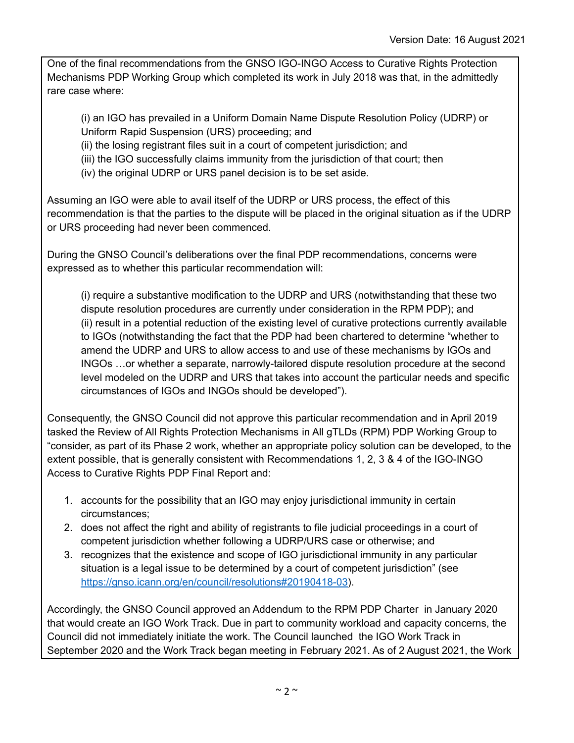One of the final recommendations from the GNSO IGO-INGO Access to Curative Rights Protection Mechanisms PDP Working Group which completed its work in July 2018 was that, in the admittedly rare case where:

(i) an IGO has prevailed in a Uniform Domain Name Dispute Resolution Policy (UDRP) or Uniform Rapid Suspension (URS) proceeding; and

(ii) the losing registrant files suit in a court of competent jurisdiction; and

(iii) the IGO successfully claims immunity from the jurisdiction of that court; then

(iv) the original UDRP or URS panel decision is to be set aside.

Assuming an IGO were able to avail itself of the UDRP or URS process, the effect of this recommendation is that the parties to the dispute will be placed in the original situation as if the UDRP or URS proceeding had never been commenced.

During the GNSO Council's deliberations over the final PDP recommendations, concerns were expressed as to whether this particular recommendation will:

(i) require a substantive modification to the UDRP and URS (notwithstanding that these two dispute resolution procedures are currently under consideration in the RPM PDP); and (ii) result in a potential reduction of the existing level of curative protections currently available to IGOs (notwithstanding the fact that the PDP had been chartered to determine "whether to amend the UDRP and URS to allow access to and use of these mechanisms by IGOs and INGOs …or whether a separate, narrowly-tailored dispute resolution procedure at the second level modeled on the UDRP and URS that takes into account the particular needs and specific circumstances of IGOs and INGOs should be developed").

Consequently, the GNSO Council did not approve this particular recommendation and in April 2019 tasked the Review of All Rights Protection Mechanisms in All gTLDs (RPM) PDP Working Group to "consider, as part of its Phase 2 work, whether an appropriate policy solution can be developed, to the extent possible, that is generally consistent with Recommendations 1, 2, 3 & 4 of the IGO-INGO Access to Curative Rights PDP Final Report and:

- 1. accounts for the possibility that an IGO may enjoy jurisdictional immunity in certain circumstances;
- 2. does not affect the right and ability of registrants to file judicial proceedings in a court of competent jurisdiction whether following a UDRP/URS case or otherwise; and
- 3. recognizes that the existence and scope of IGO jurisdictional immunity in any particular situation is a legal issue to be determined by a court of competent jurisdiction" (se[e](https://gnso.icann.org/en/council/resolutions#20190418-03) <https://gnso.icann.org/en/council/resolutions#20190418-03>).

Accordingly, the GNSO Council approved an Addendum to the RPM PDP Charter in January 2020 that would create an IGO Work Track. Due in part to community workload and capacity concerns, the Council did not immediately initiate the work. The Council launched the IGO Work Track in September 2020 and the Work Track began meeting in February 2021. As of 2 August 2021, the Work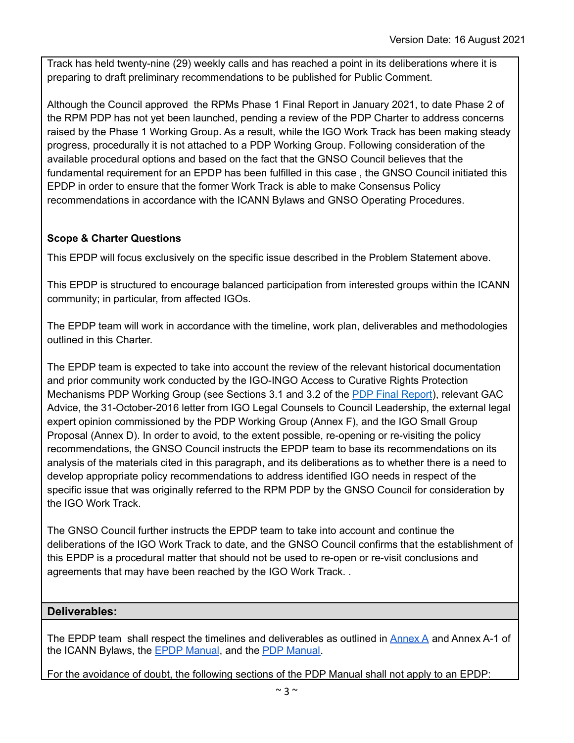Track has held twenty-nine (29) weekly calls and has reached a point in its deliberations where it is preparing to draft preliminary recommendations to be published for Public Comment.

Although the Council approved the RPMs Phase 1 Final Report in January 2021, to date Phase 2 of the RPM PDP has not yet been launched, pending a review of the PDP Charter to address concerns raised by the Phase 1 Working Group. As a result, while the IGO Work Track has been making steady progress, procedurally it is not attached to a PDP Working Group. Following consideration of the available procedural options and based on the fact that the GNSO Council believes that the fundamental requirement for an EPDP has been fulfilled in this case , the GNSO Council initiated this EPDP in order to ensure that the former Work Track is able to make Consensus Policy recommendations in accordance with the ICANN Bylaws and GNSO Operating Procedures.

# **Scope & Charter Questions**

This EPDP will focus exclusively on the specific issue described in the Problem Statement above.

This EPDP is structured to encourage balanced participation from interested groups within the ICANN community; in particular, from affected IGOs.

The EPDP team will work in accordance with the timeline, work plan, deliverables and methodologies outlined in this Charter.

The EPDP team is expected to take into account the review of the relevant historical documentation and prior community work conducted by the IGO-INGO Access to Curative Rights Protection Mechanisms PDP Working Group (see Sections 3.1 and 3.2 of the PDP Final [Report](https://gnso.icann.org/sites/default/files/file/field-file-attach/igo-ingo-crp-access-final-17jul18-en_0.pdf)), relevant GAC Advice, the 31-October-2016 letter from IGO Legal Counsels to Council Leadership, the external legal expert opinion commissioned by the PDP Working Group (Annex F), and the IGO Small Group Proposal (Annex D). In order to avoid, to the extent possible, re-opening or re-visiting the policy recommendations, the GNSO Council instructs the EPDP team to base its recommendations on its analysis of the materials cited in this paragraph, and its deliberations as to whether there is a need to develop appropriate policy recommendations to address identified IGO needs in respect of the specific issue that was originally referred to the RPM PDP by the GNSO Council for consideration by the IGO Work Track.

The GNSO Council further instructs the EPDP team to take into account and continue the deliberations of the IGO Work Track to date, and the GNSO Council confirms that the establishment of this EPDP is a procedural matter that should not be used to re-open or re-visit conclusions and agreements that may have been reached by the IGO Work Track. .

#### **Deliverables:**

The EPDP team shall respect the timelines and deliverables as outlined in  $\Delta n$ nex  $\Delta$  and [Annex](https://www.icann.org/resources/pages/governance/bylaws-en/#annexA) A-1 of the ICANN Bylaws, the EPDP [Manual](https://gnso.icann.org/sites/default/files/file/field-file-attach/annex-4-epdp-manual-24oct19-en.pdf), and the PDP [Manual.](https://gnso.icann.org/sites/default/files/file/field-file-attach/annex-2-pdp-manual-24oct19-en.pdf)

For the avoidance of doubt, the following sections of the PDP Manual shall not apply to an EPDP: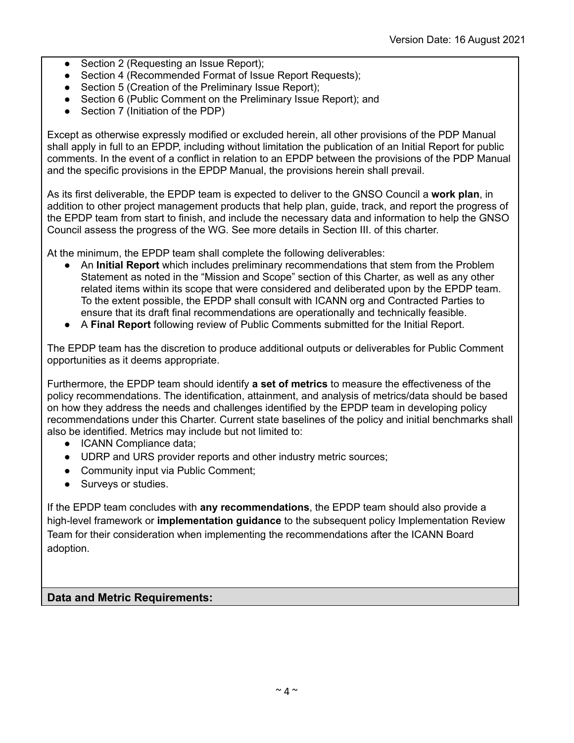- Section 2 (Requesting an Issue Report);
- Section 4 (Recommended Format of Issue Report Requests);
- Section 5 (Creation of the Preliminary Issue Report);
- Section 6 (Public Comment on the Preliminary Issue Report): and
- Section 7 (Initiation of the PDP)

Except as otherwise expressly modified or excluded herein, all other provisions of the PDP Manual shall apply in full to an EPDP, including without limitation the publication of an Initial Report for public comments. In the event of a conflict in relation to an EPDP between the provisions of the PDP Manual and the specific provisions in the EPDP Manual, the provisions herein shall prevail.

As its first deliverable, the EPDP team is expected to deliver to the GNSO Council a **work plan**, in addition to other project management products that help plan, guide, track, and report the progress of the EPDP team from start to finish, and include the necessary data and information to help the GNSO Council assess the progress of the WG. See more details in Section III. of this charter.

At the minimum, the EPDP team shall complete the following deliverables:

- An Initial Report which includes preliminary recommendations that stem from the Problem Statement as noted in the "Mission and Scope" section of this Charter, as well as any other related items within its scope that were considered and deliberated upon by the EPDP team. To the extent possible, the EPDP shall consult with ICANN org and Contracted Parties to ensure that its draft final recommendations are operationally and technically feasible.
- A **Final Report** following review of Public Comments submitted for the Initial Report.

The EPDP team has the discretion to produce additional outputs or deliverables for Public Comment opportunities as it deems appropriate.

Furthermore, the EPDP team should identify **a set of metrics** to measure the effectiveness of the policy recommendations. The identification, attainment, and analysis of metrics/data should be based on how they address the needs and challenges identified by the EPDP team in developing policy recommendations under this Charter. Current state baselines of the policy and initial benchmarks shall also be identified. Metrics may include but not limited to:

- ICANN Compliance data;
- UDRP and URS provider reports and other industry metric sources;
- Community input via Public Comment;
- Surveys or studies.

If the EPDP team concludes with **any recommendations**, the EPDP team should also provide a high-level framework or **implementation guidance** to the subsequent policy Implementation Review Team for their consideration when implementing the recommendations after the ICANN Board adoption.

#### **Data and Metric Requirements:**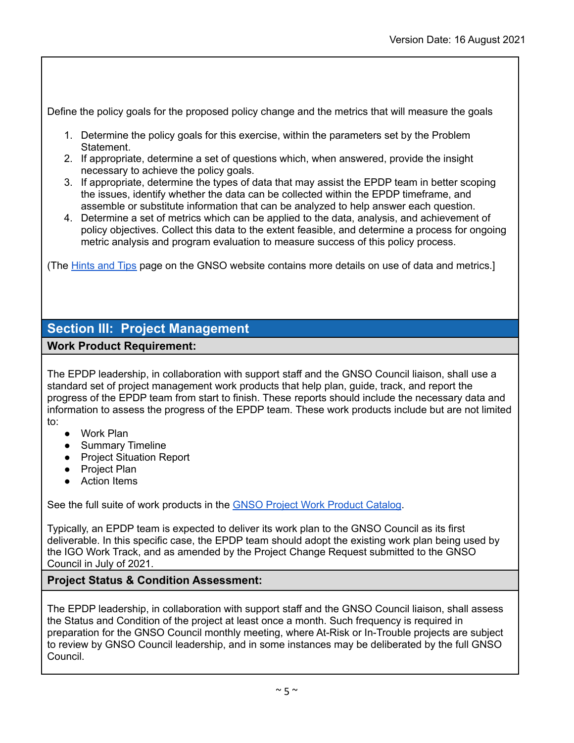Define the policy goals for the proposed policy change and the metrics that will measure the goals

- 1. Determine the policy goals for this exercise, within the parameters set by the Problem Statement.
- 2. If appropriate, determine a set of questions which, when answered, provide the insight necessary to achieve the policy goals.
- 3. If appropriate, determine the types of data that may assist the EPDP team in better scoping the issues, identify whether the data can be collected within the EPDP timeframe, and assemble or substitute information that can be analyzed to help answer each question.
- 4. Determine a set of metrics which can be applied to the data, analysis, and achievement of policy objectives. Collect this data to the extent feasible, and determine a process for ongoing metric analysis and program evaluation to measure success of this policy process.

(The [Hints](http://gnso.icann.org/en/council/procedures/hints-tips) and Tips page on the GNSO website contains more details on use of data and metrics.]

# **Section III: Project Management**

# **Work Product Requirement:**

The EPDP leadership, in collaboration with support staff and the GNSO Council liaison, shall use a standard set of project management work products that help plan, guide, track, and report the progress of the EPDP team from start to finish. These reports should include the necessary data and information to assess the progress of the EPDP team. These work products include but are not limited to:

- Work Plan
- Summary Timeline
- Project Situation Report
- Project Plan
- Action Items

See the full suite of work products in the GNSO Project Work [Product](https://gnso.icann.org/sites/default/files/file/field-file-attach/pdp-3-11-12-16-project-work-product-catalog-10feb20-en.pdf) Catalog.

Typically, an EPDP team is expected to deliver its work plan to the GNSO Council as its first deliverable. In this specific case, the EPDP team should adopt the existing work plan being used by the IGO Work Track, and as amended by the Project Change Request submitted to the GNSO Council in July of 2021.

# **Project Status & Condition Assessment:**

The EPDP leadership, in collaboration with support staff and the GNSO Council liaison, shall assess the Status and Condition of the project at least once a month. Such frequency is required in preparation for the GNSO Council monthly meeting, where At-Risk or In-Trouble projects are subject to review by GNSO Council leadership, and in some instances may be deliberated by the full GNSO Council.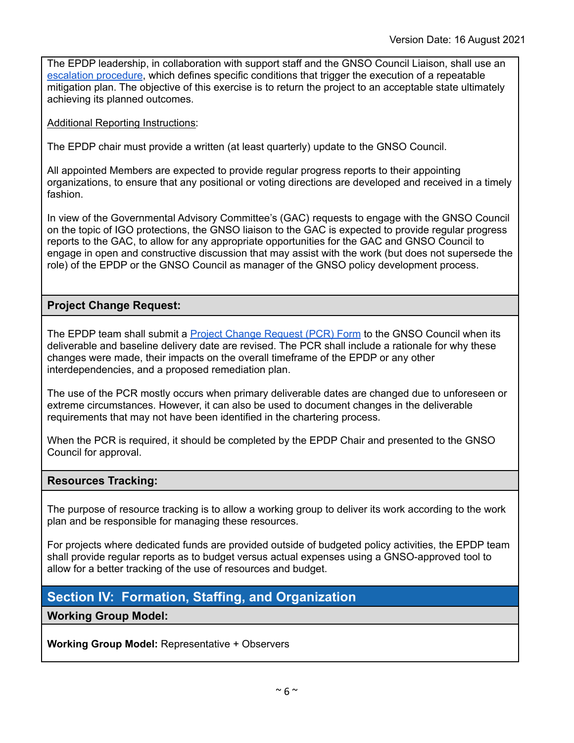The EPDP leadership, in collaboration with support staff and the GNSO Council Liaison, shall use an [escalation](https://gnso.icann.org/en/council/pdp-3-11-project-status-condition-change-procedure-flowchart-10feb20-en.pdf) procedure, which defines specific conditions that trigger the execution of a repeatable mitigation plan. The objective of this exercise is to return the project to an acceptable state ultimately achieving its planned outcomes.

#### Additional Reporting Instructions:

The EPDP chair must provide a written (at least quarterly) update to the GNSO Council.

All appointed Members are expected to provide regular progress reports to their appointing organizations, to ensure that any positional or voting directions are developed and received in a timely fashion.

In view of the Governmental Advisory Committee's (GAC) requests to engage with the GNSO Council on the topic of IGO protections, the GNSO liaison to the GAC is expected to provide regular progress reports to the GAC, to allow for any appropriate opportunities for the GAC and GNSO Council to engage in open and constructive discussion that may assist with the work (but does not supersede the role) of the EPDP or the GNSO Council as manager of the GNSO policy development process.

# **Project Change Request:**

The EPDP team shall submit a **Project Change [Request](https://gnso.icann.org/en/council/pdp-3-12-project-change-request-form-10feb20-en.pdf) (PCR) Form** to the GNSO Council when its deliverable and baseline delivery date are revised. The PCR shall include a rationale for why these changes were made, their impacts on the overall timeframe of the EPDP or any other interdependencies, and a proposed remediation plan.

The use of the PCR mostly occurs when primary deliverable dates are changed due to unforeseen or extreme circumstances. However, it can also be used to document changes in the deliverable requirements that may not have been identified in the chartering process.

When the PCR is required, it should be completed by the EPDP Chair and presented to the GNSO Council for approval.

# **Resources Tracking:**

The purpose of resource tracking is to allow a working group to deliver its work according to the work plan and be responsible for managing these resources.

For projects where dedicated funds are provided outside of budgeted policy activities, the EPDP team shall provide regular reports as to budget versus actual expenses using a GNSO-approved tool to allow for a better tracking of the use of resources and budget.

# **Section IV: Formation, Staffing, and Organization**

# **Working Group Model:**

**Working Group Model:** Representative + Observers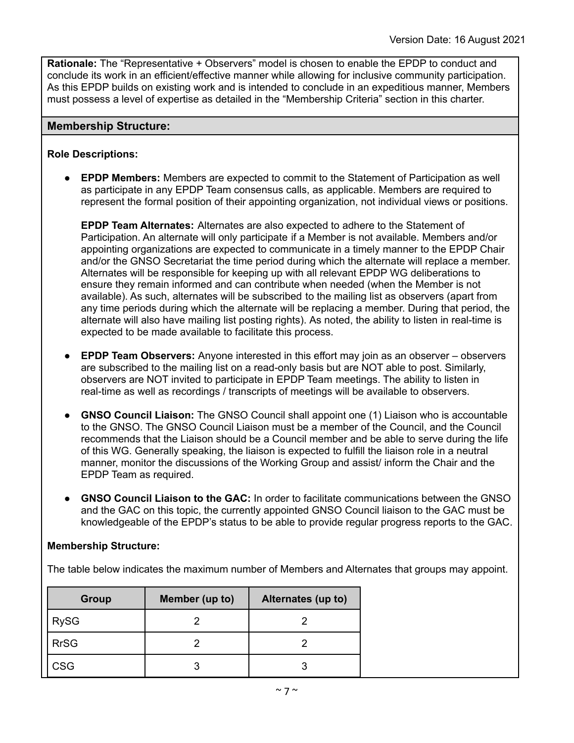**Rationale:** The "Representative + Observers" model is chosen to enable the EPDP to conduct and conclude its work in an efficient/effective manner while allowing for inclusive community participation. As this EPDP builds on existing work and is intended to conclude in an expeditious manner, Members must possess a level of expertise as detailed in the "Membership Criteria" section in this charter.

#### **Membership Structure:**

#### **Role Descriptions:**

● **EPDP Members:** Members are expected to commit to the Statement of Participation as well as participate in any EPDP Team consensus calls, as applicable. Members are required to represent the formal position of their appointing organization, not individual views or positions.

**EPDP Team Alternates:** Alternates are also expected to adhere to the Statement of Participation. An alternate will only participate if a Member is not available. Members and/or appointing organizations are expected to communicate in a timely manner to the EPDP Chair and/or the GNSO Secretariat the time period during which the alternate will replace a member. Alternates will be responsible for keeping up with all relevant EPDP WG deliberations to ensure they remain informed and can contribute when needed (when the Member is not available). As such, alternates will be subscribed to the mailing list as observers (apart from any time periods during which the alternate will be replacing a member. During that period, the alternate will also have mailing list posting rights). As noted, the ability to listen in real-time is expected to be made available to facilitate this process.

- **● EPDP Team Observers:** Anyone interested in this effort may join as an observer observers are subscribed to the mailing list on a read-only basis but are NOT able to post. Similarly, observers are NOT invited to participate in EPDP Team meetings. The ability to listen in real-time as well as recordings / transcripts of meetings will be available to observers.
- **● GNSO Council Liaison:** The GNSO Council shall appoint one (1) Liaison who is accountable to the GNSO. The GNSO Council Liaison must be a member of the Council, and the Council recommends that the Liaison should be a Council member and be able to serve during the life of this WG. Generally speaking, the liaison is expected to fulfill the liaison role in a neutral manner, monitor the discussions of the Working Group and assist/ inform the Chair and the EPDP Team as required.
- **● GNSO Council Liaison to the GAC:** In order to facilitate communications between the GNSO and the GAC on this topic, the currently appointed GNSO Council liaison to the GAC must be knowledgeable of the EPDP's status to be able to provide regular progress reports to the GAC.

#### **Membership Structure:**

The table below indicates the maximum number of Members and Alternates that groups may appoint.

| Group       | Member (up to) | Alternates (up to) |  |  |  |
|-------------|----------------|--------------------|--|--|--|
| <b>RySG</b> |                |                    |  |  |  |
| <b>RrSG</b> |                |                    |  |  |  |
| <b>CSG</b>  | ว              |                    |  |  |  |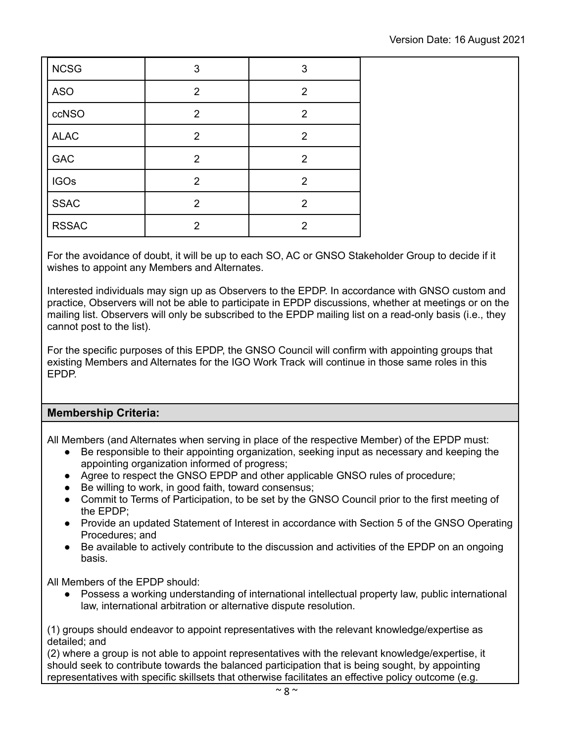| <b>NCSG</b>  | 3              | 3              |
|--------------|----------------|----------------|
| <b>ASO</b>   | $\overline{2}$ | $\overline{2}$ |
| ccNSO        | $\overline{2}$ | $\overline{2}$ |
| <b>ALAC</b>  | $\overline{2}$ | $\overline{2}$ |
| GAC          | $\overline{2}$ | $\overline{2}$ |
| <b>IGOs</b>  | $\overline{2}$ | $\overline{2}$ |
| <b>SSAC</b>  | $\overline{2}$ | $\overline{2}$ |
| <b>RSSAC</b> | $\overline{2}$ | $\overline{2}$ |

For the avoidance of doubt, it will be up to each SO, AC or GNSO Stakeholder Group to decide if it wishes to appoint any Members and Alternates.

Interested individuals may sign up as Observers to the EPDP. In accordance with GNSO custom and practice, Observers will not be able to participate in EPDP discussions, whether at meetings or on the mailing list. Observers will only be subscribed to the EPDP mailing list on a read-only basis (i.e., they cannot post to the list).

For the specific purposes of this EPDP, the GNSO Council will confirm with appointing groups that existing Members and Alternates for the IGO Work Track will continue in those same roles in this EPDP.

# **Membership Criteria:**

All Members (and Alternates when serving in place of the respective Member) of the EPDP must:

- Be responsible to their appointing organization, seeking input as necessary and keeping the appointing organization informed of progress;
- Agree to respect the GNSO EPDP and other applicable GNSO rules of procedure;
- Be willing to work, in good faith, toward consensus;
- Commit to Terms of Participation, to be set by the GNSO Council prior to the first meeting of the EPDP;
- Provide an updated Statement of Interest in accordance with Section 5 of the GNSO Operating Procedures; and
- Be available to actively contribute to the discussion and activities of the EPDP on an ongoing basis.

All Members of the EPDP should:

● Possess a working understanding of international intellectual property law, public international law, international arbitration or alternative dispute resolution.

(1) groups should endeavor to appoint representatives with the relevant knowledge/expertise as detailed; and

(2) where a group is not able to appoint representatives with the relevant knowledge/expertise, it should seek to contribute towards the balanced participation that is being sought, by appointing representatives with specific skillsets that otherwise facilitates an effective policy outcome (e.g.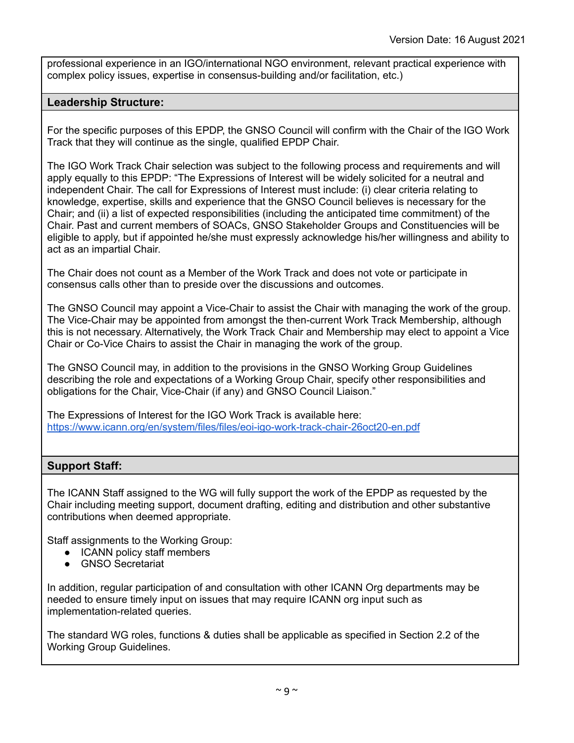professional experience in an IGO/international NGO environment, relevant practical experience with complex policy issues, expertise in consensus-building and/or facilitation, etc.)

#### **Leadership Structure:**

For the specific purposes of this EPDP, the GNSO Council will confirm with the Chair of the IGO Work Track that they will continue as the single, qualified EPDP Chair.

The IGO Work Track Chair selection was subject to the following process and requirements and will apply equally to this EPDP: "The Expressions of Interest will be widely solicited for a neutral and independent Chair. The call for Expressions of Interest must include: (i) clear criteria relating to knowledge, expertise, skills and experience that the GNSO Council believes is necessary for the Chair; and (ii) a list of expected responsibilities (including the anticipated time commitment) of the Chair. Past and current members of SOACs, GNSO Stakeholder Groups and Constituencies will be eligible to apply, but if appointed he/she must expressly acknowledge his/her willingness and ability to act as an impartial Chair.

The Chair does not count as a Member of the Work Track and does not vote or participate in consensus calls other than to preside over the discussions and outcomes.

The GNSO Council may appoint a Vice-Chair to assist the Chair with managing the work of the group. The Vice-Chair may be appointed from amongst the then-current Work Track Membership, although this is not necessary. Alternatively, the Work Track Chair and Membership may elect to appoint a Vice Chair or Co-Vice Chairs to assist the Chair in managing the work of the group.

The GNSO Council may, in addition to the provisions in the GNSO Working Group Guidelines describing the role and expectations of a Working Group Chair, specify other responsibilities and obligations for the Chair, Vice-Chair (if any) and GNSO Council Liaison."

The Expressions of Interest for the IGO Work Track is available here: <https://www.icann.org/en/system/files/files/eoi-igo-work-track-chair-26oct20-en.pdf>

#### **Support Staff:**

The ICANN Staff assigned to the WG will fully support the work of the EPDP as requested by the Chair including meeting support, document drafting, editing and distribution and other substantive contributions when deemed appropriate.

Staff assignments to the Working Group:

- ICANN policy staff members
- GNSO Secretariat

In addition, regular participation of and consultation with other ICANN Org departments may be needed to ensure timely input on issues that may require ICANN org input such as implementation-related queries.

The standard WG roles, functions & duties shall be applicable as specified in Section 2.2 of the Working Group Guidelines.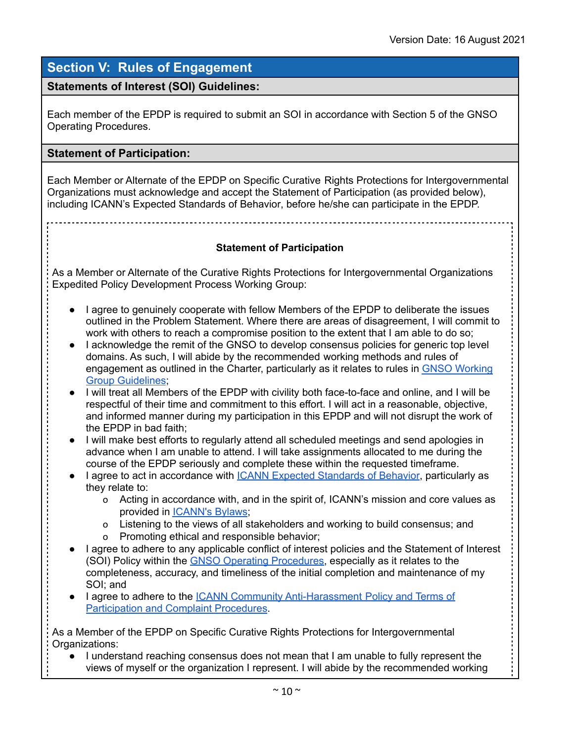# **Section V: Rules of Engagement**

# **Statements of Interest (SOI) Guidelines:**

Each member of the EPDP is required to submit an SOI in accordance with Section 5 of the GNSO Operating Procedures.

#### **Statement of Participation:**

Each Member or Alternate of the EPDP on Specific Curative Rights Protections for Intergovernmental Organizations must acknowledge and accept the Statement of Participation (as provided below), including ICANN's Expected [Standards](http://www.icann.org/transparency/acct-trans-frameworks-principles-10jan08.pdf) of Behavior, before he/she can participate in the EPDP.

#### **Statement of Participation**

As a Member or Alternate of the Curative Rights Protections for Intergovernmental Organizations Expedited Policy Development Process Working Group:

- I agree to genuinely cooperate with fellow Members of the EPDP to deliberate the issues outlined in the Problem Statement. Where there are areas of disagreement, I will commit to work with others to reach a compromise position to the extent that I am able to do so;
- I acknowledge the remit of the GNSO to develop consensus policies for generic top level domains. As such, I will abide by the recommended working methods and rules of engagement as outlined in the Charter, particularly as it relates to rules in GNSO [Working](https://gnso.icann.org/en/council/procedures) Group [Guidelines](https://gnso.icann.org/en/council/procedures);
- I will treat all Members of the EPDP with civility both face-to-face and online, and I will be respectful of their time and commitment to this effort. I will act in a reasonable, objective, and informed manner during my participation in this EPDP and will not disrupt the work of the EPDP in bad faith;
- I will make best efforts to regularly attend all scheduled meetings and send apologies in advance when I am unable to attend. I will take assignments allocated to me during the course of the EPDP seriously and complete these within the requested timeframe.
- I agree to act in accordance with ICANN Expected [Standards](https://www.icann.org/resources/pages/expected-standards-2016-06-28-en) of Behavior, particularly as they relate to:
	- o Acting in accordance with, and in the spirit of, ICANN's mission and core values as provided in [ICANN's](https://www.icann.org/resources/pages/governance/bylaws-en) Bylaws;
	- o Listening to the views of all stakeholders and working to build consensus; and
	- o Promoting ethical and responsible behavior;
- I agree to adhere to any applicable conflict of interest policies and the Statement of Interest (SOI) Policy within the GNSO Operating [Procedures,](https://gnso.icann.org/en/council/procedures) especially as it relates to the completeness, accuracy, and timeliness of the initial completion and maintenance of my SOI; and
- I agree to adhere to the ICANN Community [Anti-Harassment](https://www.icann.org/resources/pages/community-anti-harassment-policy-2017-03-24-en) Policy and Terms of [Participation](https://www.icann.org/resources/pages/community-anti-harassment-policy-2017-03-24-en) and Complaint Procedures.

As a Member of the EPDP on Specific Curative Rights Protections for Intergovernmental Organizations:

● I understand reaching consensus does not mean that I am unable to fully represent the views of myself or the organization I represent. I will abide by the recommended working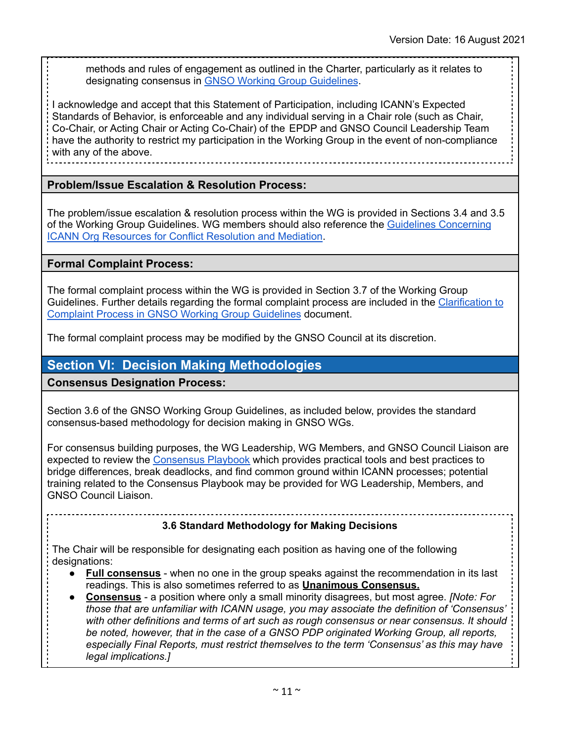methods and rules of engagement as outlined in the Charter, particularly as it relates to designating consensus in GNSO Working Group [Guidelines](https://gnso.icann.org/en/council/procedures).

I acknowledge and accept that this Statement of Participation, including ICANN's Expected Standards of Behavior, is enforceable and any individual serving in a Chair role (such as Chair, Co-Chair, or Acting Chair or Acting Co-Chair) of the EPDP and GNSO Council Leadership Team have the authority to restrict my participation in the Working Group in the event of non-compliance with any of the above.

#### **Problem/Issue Escalation & Resolution Process:**

The problem/issue escalation & resolution process within the WG is provided in Sections 3.4 and 3.5 of the Working Group Guidelines. WG members should also reference the Guidelines [Concerning](https://gnso.icann.org/sites/default/files/file/field-file-attach/pdp-3-15-icann-resources-conflict-resolution-mediation-10feb20-en.pdf) ICANN Org [Resources](https://gnso.icann.org/sites/default/files/file/field-file-attach/pdp-3-15-icann-resources-conflict-resolution-mediation-10feb20-en.pdf) for Conflict Resolution and Mediation.

#### **Formal Complaint Process:**

The formal complaint process within the WG is provided in Section 3.7 of the Working Group Guidelines. Further details regarding the formal complaint process are included in the [Clarification](https://gnso.icann.org/sites/default/files/file/field-file-attach/pdp-3-9-clarification-complaint-process-10feb20-en.pdf) to Complaint Process in GNSO Working Group [Guidelines](https://gnso.icann.org/sites/default/files/file/field-file-attach/pdp-3-9-clarification-complaint-process-10feb20-en.pdf) document.

The formal complaint process may be modified by the GNSO Council at its discretion.

# **Section VI: Decision Making Methodologies**

**Consensus Designation Process:**

Section 3.6 of the GNSO Working Group Guidelines, as included below, provides the standard consensus-based methodology for decision making in GNSO WGs.

For consensus building purposes, the WG Leadership, WG Members, and GNSO Council Liaison are expected to review the [Consensus](https://go.icann.org/consensus) Playbook which provides practical tools and best practices to bridge differences, break deadlocks, and find common ground within ICANN processes; potential training related to the Consensus Playbook may be provided for WG Leadership, Members, and GNSO Council Liaison.

# **3.6 Standard Methodology for Making Decisions**

The Chair will be responsible for designating each position as having one of the following designations:

- **Full consensus** when no one in the group speaks against the recommendation in its last readings. This is also sometimes referred to as **Unanimous Consensus.**
- **Consensus** a position where only a small minority disagrees, but most agree. *[Note: For those that are unfamiliar with ICANN usage, you may associate the definition of 'Consensus' with other definitions and terms of art such as rough consensus or near consensus. It should be noted, however, that in the case of a GNSO PDP originated Working Group, all reports, especially Final Reports, must restrict themselves to the term 'Consensus' as this may have legal implications.]*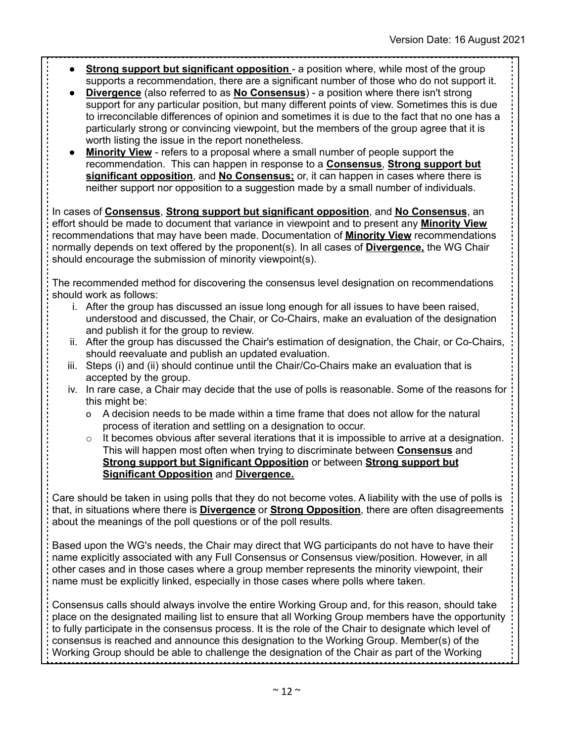- **Strong support but significant opposition** a position where, while most of the group supports a recommendation, there are a significant number of those who do not support it.
- **Divergence** (also referred to as **No Consensus**) a position where there isn't strong support for any particular position, but many different points of view. Sometimes this is due to irreconcilable differences of opinion and sometimes it is due to the fact that no one has a particularly strong or convincing viewpoint, but the members of the group agree that it is worth listing the issue in the report nonetheless.
- **Minority View** refers to a proposal where a small number of people support the recommendation. This can happen in response to a **Consensus**, **Strong support but significant opposition**, and **No Consensus;** or, it can happen in cases where there is neither support nor opposition to a suggestion made by a small number of individuals.

In cases of **Consensus**, **Strong support but significant opposition**, and **No Consensus**, an effort should be made to document that variance in viewpoint and to present any **Minority View** recommendations that may have been made. Documentation of **Minority View** recommendations normally depends on text offered by the proponent(s). In all cases of **Divergence,** the WG Chair should encourage the submission of minority viewpoint(s).

The recommended method for discovering the consensus level designation on recommendations should work as follows:

- i. After the group has discussed an issue long enough for all issues to have been raised, understood and discussed, the Chair, or Co-Chairs, make an evaluation of the designation and publish it for the group to review.
- ii. After the group has discussed the Chair's estimation of designation, the Chair, or Co-Chairs, should reevaluate and publish an updated evaluation.
- iii. Steps (i) and (ii) should continue until the Chair/Co-Chairs make an evaluation that is accepted by the group.
- iv. In rare case, a Chair may decide that the use of polls is reasonable. Some of the reasons for this might be:
	- o A decision needs to be made within a time frame that does not allow for the natural process of iteration and settling on a designation to occur.
	- $\circ$  It becomes obvious after several iterations that it is impossible to arrive at a designation. This will happen most often when trying to discriminate between **Consensus** and **Strong support but Significant Opposition** or between **Strong support but Significant Opposition** and **Divergence.**

Care should be taken in using polls that they do not become votes. A liability with the use of polls is that, in situations where there is **Divergence** or **Strong Opposition**, there are often disagreements about the meanings of the poll questions or of the poll results.

Based upon the WG's needs, the Chair may direct that WG participants do not have to have their name explicitly associated with any Full Consensus or Consensus view/position. However, in all other cases and in those cases where a group member represents the minority viewpoint, their name must be explicitly linked, especially in those cases where polls where taken.

Consensus calls should always involve the entire Working Group and, for this reason, should take place on the designated mailing list to ensure that all Working Group members have the opportunity to fully participate in the consensus process. It is the role of the Chair to designate which level of consensus is reached and announce this designation to the Working Group. Member(s) of the Working Group should be able to challenge the designation of the Chair as part of the Working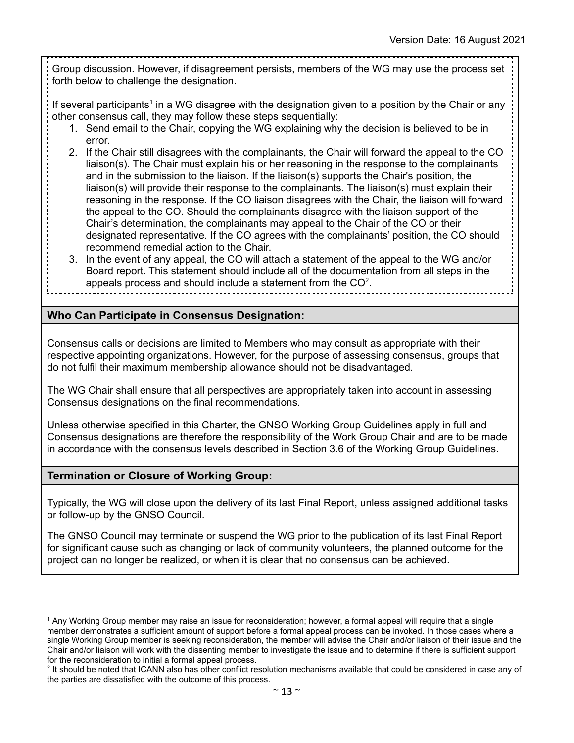Group discussion. However, if disagreement persists, members of the WG may use the process set forth below to challenge the designation.

If several participants<sup>1</sup> in a WG disagree with the designation given to a position by the Chair or any other consensus call, they may follow these steps sequentially:

- 1. Send email to the Chair, copying the WG explaining why the decision is believed to be in error.
- 2. If the Chair still disagrees with the complainants, the Chair will forward the appeal to the CO liaison(s). The Chair must explain his or her reasoning in the response to the complainants and in the submission to the liaison. If the liaison(s) supports the Chair's position, the liaison(s) will provide their response to the complainants. The liaison(s) must explain their reasoning in the response. If the CO liaison disagrees with the Chair, the liaison will forward the appeal to the CO. Should the complainants disagree with the liaison support of the Chair's determination, the complainants may appeal to the Chair of the CO or their designated representative. If the CO agrees with the complainants' position, the CO should recommend remedial action to the Chair.
- 3. In the event of any appeal, the CO will attach a statement of the appeal to the WG and/or Board report. This statement should include all of the documentation from all steps in the appeals process and should include a statement from the  $CO<sup>2</sup>$ .

# **Who Can Participate in Consensus Designation:**

Consensus calls or decisions are limited to Members who may consult as appropriate with their respective appointing organizations. However, for the purpose of assessing consensus, groups that do not fulfil their maximum membership allowance should not be disadvantaged.

The WG Chair shall ensure that all perspectives are appropriately taken into account in assessing Consensus designations on the final recommendations.

Unless otherwise specified in this Charter, the GNSO Working Group Guidelines apply in full and Consensus designations are therefore the responsibility of the Work Group Chair and are to be made in accordance with the consensus levels described in Section 3.6 of the Working Group Guidelines.

# **Termination or Closure of Working Group:**

Typically, the WG will close upon the delivery of its last Final Report, unless assigned additional tasks or follow-up by the GNSO Council.

The GNSO Council may terminate or suspend the WG prior to the publication of its last Final Report for significant cause such as changing or lack of community volunteers, the planned outcome for the project can no longer be realized, or when it is clear that no consensus can be achieved.

<sup>1</sup> Any Working Group member may raise an issue for reconsideration; however, a formal appeal will require that a single member demonstrates a sufficient amount of support before a formal appeal process can be invoked. In those cases where a single Working Group member is seeking reconsideration, the member will advise the Chair and/or liaison of their issue and the Chair and/or liaison will work with the dissenting member to investigate the issue and to determine if there is sufficient support for the reconsideration to initial a formal appeal process.

<sup>&</sup>lt;sup>2</sup> It should be noted that ICANN also has other conflict resolution mechanisms available that could be considered in case any of the parties are dissatisfied with the outcome of this process.